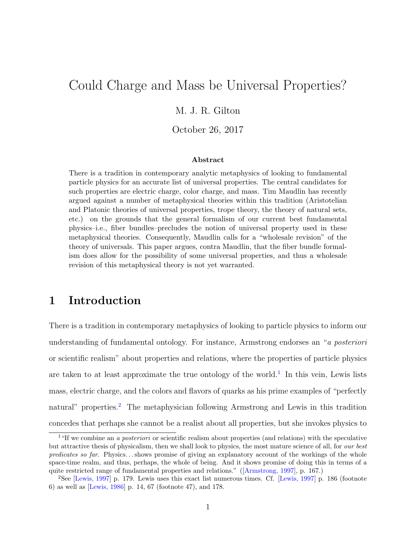# <span id="page-0-2"></span>Could Charge and Mass be Universal Properties?

#### M. J. R. Gilton

#### October 26, 2017

#### Abstract

There is a tradition in contemporary analytic metaphysics of looking to fundamental particle physics for an accurate list of universal properties. The central candidates for such properties are electric charge, color charge, and mass. Tim Maudlin has recently argued against a number of metaphysical theories within this tradition (Aristotelian and Platonic theories of universal properties, trope theory, the theory of natural sets, etc.) on the grounds that the general formalism of our current best fundamental physics–i.e., fiber bundles–precludes the notion of universal property used in these metaphysical theories. Consequently, Maudlin calls for a "wholesale revision" of the theory of universals. This paper argues, contra Maudlin, that the fiber bundle formalism does allow for the possibility of some universal properties, and thus a wholesale revision of this metaphysical theory is not yet warranted.

## 1 Introduction

There is a tradition in contemporary metaphysics of looking to particle physics to inform our understanding of fundamental ontology. For instance, Armstrong endorses an "a posteriori or scientific realism" about properties and relations, where the properties of particle physics are taken to at least approximate the true ontology of the world.<sup>[1](#page-0-0)</sup> In this vein, Lewis lists mass, electric charge, and the colors and flavors of quarks as his prime examples of "perfectly natural" properties.<sup>[2](#page-0-1)</sup> The metaphysician following Armstrong and Lewis in this tradition concedes that perhaps she cannot be a realist about all properties, but she invokes physics to

<span id="page-0-0"></span><sup>&</sup>lt;sup>1</sup>"If we combine an *a posteriori* or scientific realism about properties (and relations) with the speculative but attractive thesis of physicalism, then we shall look to physics, the most mature science of all, for our best predicates so far. Physics. . . shows promise of giving an explanatory account of the workings of the whole space-time realm, and thus, perhaps, the whole of being. And it shows promise of doing this in terms of a quite restricted range of fundamental properties and relations." ([\[Armstrong, 1997\]](#page-28-0), p. 167.)

<span id="page-0-1"></span><sup>2</sup>See [\[Lewis, 1997\]](#page-28-1) p. 179. Lewis uses this exact list numerous times. Cf. [\[Lewis, 1997\]](#page-28-1) p. 186 (footnote 6) as well as [\[Lewis, 1986\]](#page-28-2) p. 14, 67 (footnote 47), and 178.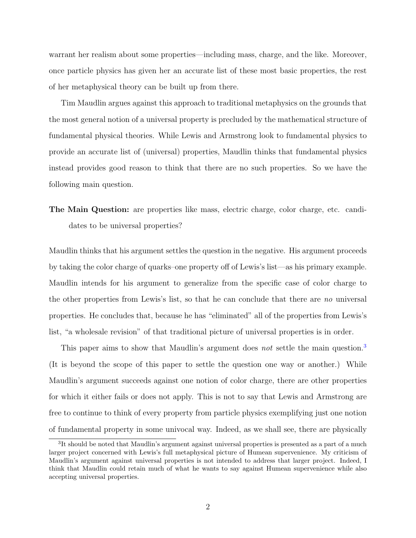warrant her realism about some properties—including mass, charge, and the like. Moreover, once particle physics has given her an accurate list of these most basic properties, the rest of her metaphysical theory can be built up from there.

Tim Maudlin argues against this approach to traditional metaphysics on the grounds that the most general notion of a universal property is precluded by the mathematical structure of fundamental physical theories. While Lewis and Armstrong look to fundamental physics to provide an accurate list of (universal) properties, Maudlin thinks that fundamental physics instead provides good reason to think that there are no such properties. So we have the following main question.

The Main Question: are properties like mass, electric charge, color charge, etc. candidates to be universal properties?

Maudlin thinks that his argument settles the question in the negative. His argument proceeds by taking the color charge of quarks–one property off of Lewis's list—as his primary example. Maudlin intends for his argument to generalize from the specific case of color charge to the other properties from Lewis's list, so that he can conclude that there are no universal properties. He concludes that, because he has "eliminated" all of the properties from Lewis's list, "a wholesale revision" of that traditional picture of universal properties is in order.

This paper aims to show that Maudlin's argument does not settle the main question.<sup>[3](#page-1-0)</sup> (It is beyond the scope of this paper to settle the question one way or another.) While Maudlin's argument succeeds against one notion of color charge, there are other properties for which it either fails or does not apply. This is not to say that Lewis and Armstrong are free to continue to think of every property from particle physics exemplifying just one notion of fundamental property in some univocal way. Indeed, as we shall see, there are physically

<span id="page-1-0"></span><sup>&</sup>lt;sup>3</sup>It should be noted that Maudlin's argument against universal properties is presented as a part of a much larger project concerned with Lewis's full metaphysical picture of Humean supervenience. My criticism of Maudlin's argument against universal properties is not intended to address that larger project. Indeed, I think that Maudlin could retain much of what he wants to say against Humean supervenience while also accepting universal properties.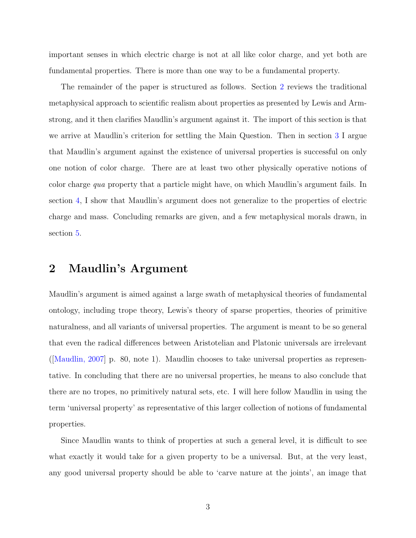<span id="page-2-1"></span>important senses in which electric charge is not at all like color charge, and yet both are fundamental properties. There is more than one way to be a fundamental property.

The remainder of the paper is structured as follows. Section [2](#page-2-0) reviews the traditional metaphysical approach to scientific realism about properties as presented by Lewis and Armstrong, and it then clarifies Maudlin's argument against it. The import of this section is that we arrive at Maudlin's criterion for settling the Main Question. Then in section [3](#page-11-0) I argue that Maudlin's argument against the existence of universal properties is successful on only one notion of color charge. There are at least two other physically operative notions of color charge qua property that a particle might have, on which Maudlin's argument fails. In section [4,](#page-18-0) I show that Maudlin's argument does not generalize to the properties of electric charge and mass. Concluding remarks are given, and a few metaphysical morals drawn, in section [5.](#page-24-0)

#### <span id="page-2-0"></span>2 Maudlin's Argument

Maudlin's argument is aimed against a large swath of metaphysical theories of fundamental ontology, including trope theory, Lewis's theory of sparse properties, theories of primitive naturalness, and all variants of universal properties. The argument is meant to be so general that even the radical differences between Aristotelian and Platonic universals are irrelevant ([\[Maudlin, 2007\]](#page-29-0) p. 80, note 1). Maudlin chooses to take universal properties as representative. In concluding that there are no universal properties, he means to also conclude that there are no tropes, no primitively natural sets, etc. I will here follow Maudlin in using the term 'universal property' as representative of this larger collection of notions of fundamental properties.

Since Maudlin wants to think of properties at such a general level, it is difficult to see what exactly it would take for a given property to be a universal. But, at the very least, any good universal property should be able to 'carve nature at the joints', an image that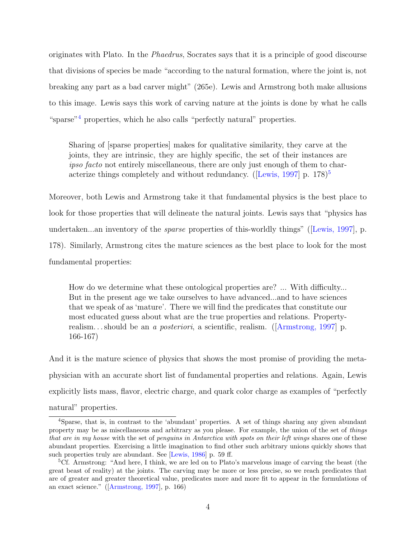<span id="page-3-2"></span>originates with Plato. In the Phaedrus, Socrates says that it is a principle of good discourse that divisions of species be made "according to the natural formation, where the joint is, not breaking any part as a bad carver might" (265e). Lewis and Armstrong both make allusions to this image. Lewis says this work of carving nature at the joints is done by what he calls "sparse"<sup>[4](#page-3-0)</sup> properties, which he also calls "perfectly natural" properties.

Sharing of [sparse properties] makes for qualitative similarity, they carve at the joints, they are intrinsic, they are highly specific, the set of their instances are ipso facto not entirely miscellaneous, there are only just enough of them to char-acterize things completely and without redundancy. ([\[Lewis, 1997\]](#page-28-1) p.  $178$ ]<sup>[5](#page-3-1)</sup>

Moreover, both Lewis and Armstrong take it that fundamental physics is the best place to look for those properties that will delineate the natural joints. Lewis says that "physics has undertaken...an inventory of the *sparse* properties of this-worldly things" ([\[Lewis, 1997\]](#page-28-1), p. 178). Similarly, Armstrong cites the mature sciences as the best place to look for the most fundamental properties:

How do we determine what these ontological properties are? ... With difficulty... But in the present age we take ourselves to have advanced...and to have sciences that we speak of as 'mature'. There we will find the predicates that constitute our most educated guess about what are the true properties and relations. Propertyrealism. . . should be an a posteriori, a scientific, realism. ([\[Armstrong, 1997\]](#page-28-0) p. 166-167)

And it is the mature science of physics that shows the most promise of providing the metaphysician with an accurate short list of fundamental properties and relations. Again, Lewis explicitly lists mass, flavor, electric charge, and quark color charge as examples of "perfectly natural" properties.

<span id="page-3-0"></span><sup>4</sup>Sparse, that is, in contrast to the 'abundant' properties. A set of things sharing any given abundant property may be as miscellaneous and arbitrary as you please. For example, the union of the set of things that are in my house with the set of penguins in Antarctica with spots on their left wings shares one of these abundant properties. Exercising a little imagination to find other such arbitrary unions quickly shows that such properties truly are abundant. See [\[Lewis, 1986\]](#page-28-2) p. 59 ff.

<span id="page-3-1"></span><sup>5</sup>Cf. Armstrong: "And here, I think, we are led on to Plato's marvelous image of carving the beast (the great beast of reality) at the joints. The carving may be more or less precise, so we reach predicates that are of greater and greater theoretical value, predicates more and more fit to appear in the formulations of an exact science." ([\[Armstrong, 1997\]](#page-28-0), p. 166)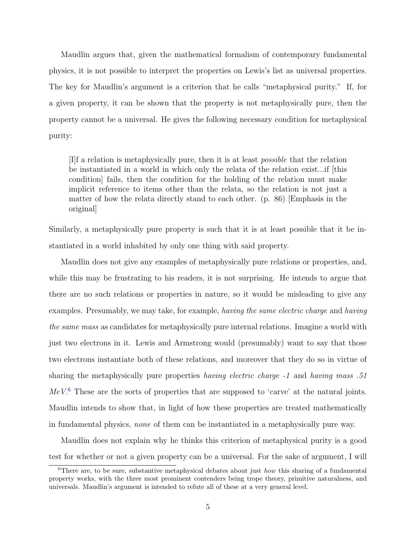Maudlin argues that, given the mathematical formalism of contemporary fundamental physics, it is not possible to interpret the properties on Lewis's list as universal properties. The key for Maudlin's argument is a criterion that he calls "metaphysical purity." If, for a given property, it can be shown that the property is not metaphysically pure, then the property cannot be a universal. He gives the following necessary condition for metaphysical purity:

[I]f a relation is metaphysically pure, then it is at least possible that the relation be instantiated in a world in which only the relata of the relation exist...if [this condition] fails, then the condition for the holding of the relation must make implicit reference to items other than the relata, so the relation is not just a matter of how the relata directly stand to each other. (p. 86) [Emphasis in the original]

Similarly, a metaphysically pure property is such that it is at least possible that it be instantiated in a world inhabited by only one thing with said property.

Maudlin does not give any examples of metaphysically pure relations or properties, and, while this may be frustrating to his readers, it is not surprising. He intends to argue that there are no such relations or properties in nature, so it would be misleading to give any examples. Presumably, we may take, for example, having the same electric charge and having the same mass as candidates for metaphysically pure internal relations. Imagine a world with just two electrons in it. Lewis and Armstrong would (presumably) want to say that those two electrons instantiate both of these relations, and moreover that they do so in virtue of sharing the metaphysically pure properties having electric charge -1 and having mass .51  $MeV<sup>6</sup>$  $MeV<sup>6</sup>$  $MeV<sup>6</sup>$  These are the sorts of properties that are supposed to 'carve' at the natural joints. Maudlin intends to show that, in light of how these properties are treated mathematically in fundamental physics, none of them can be instantiated in a metaphysically pure way.

Maudlin does not explain why he thinks this criterion of metaphysical purity is a good test for whether or not a given property can be a universal. For the sake of argument, I will

<span id="page-4-0"></span><sup>&</sup>lt;sup>6</sup>There are, to be sure, substantive metaphysical debates about just *how* this sharing of a fundamental property works, with the three most prominent contenders being trope theory, primitive naturalness, and universals. Maudlin's argument is intended to refute all of these at a very general level.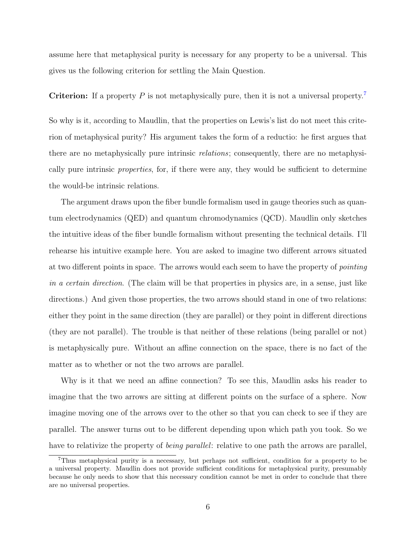assume here that metaphysical purity is necessary for any property to be a universal. This gives us the following criterion for settling the Main Question.

**Criterion:** If a property P is not metaphysically pure, then it is not a universal property.<sup>[7](#page-5-0)</sup>

So why is it, according to Maudlin, that the properties on Lewis's list do not meet this criterion of metaphysical purity? His argument takes the form of a reductio: he first argues that there are no metaphysically pure intrinsic relations; consequently, there are no metaphysically pure intrinsic *properties*, for, if there were any, they would be sufficient to determine the would-be intrinsic relations.

The argument draws upon the fiber bundle formalism used in gauge theories such as quantum electrodynamics (QED) and quantum chromodynamics (QCD). Maudlin only sketches the intuitive ideas of the fiber bundle formalism without presenting the technical details. I'll rehearse his intuitive example here. You are asked to imagine two different arrows situated at two different points in space. The arrows would each seem to have the property of pointing in a certain direction. (The claim will be that properties in physics are, in a sense, just like directions.) And given those properties, the two arrows should stand in one of two relations: either they point in the same direction (they are parallel) or they point in different directions (they are not parallel). The trouble is that neither of these relations (being parallel or not) is metaphysically pure. Without an affine connection on the space, there is no fact of the matter as to whether or not the two arrows are parallel.

Why is it that we need an affine connection? To see this, Maudlin asks his reader to imagine that the two arrows are sitting at different points on the surface of a sphere. Now imagine moving one of the arrows over to the other so that you can check to see if they are parallel. The answer turns out to be different depending upon which path you took. So we have to relativize the property of *being parallel*: relative to one path the arrows are parallel,

<span id="page-5-0"></span><sup>7</sup>Thus metaphysical purity is a necessary, but perhaps not sufficient, condition for a property to be a universal property. Maudlin does not provide sufficient conditions for metaphysical purity, presumably because he only needs to show that this necessary condition cannot be met in order to conclude that there are no universal properties.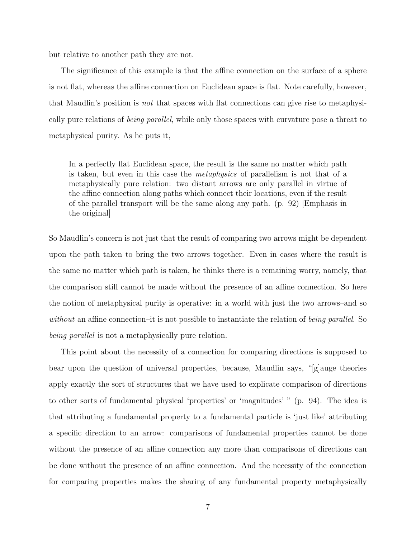but relative to another path they are not.

The significance of this example is that the affine connection on the surface of a sphere is not flat, whereas the affine connection on Euclidean space is flat. Note carefully, however, that Maudlin's position is not that spaces with flat connections can give rise to metaphysically pure relations of being parallel, while only those spaces with curvature pose a threat to metaphysical purity. As he puts it,

In a perfectly flat Euclidean space, the result is the same no matter which path is taken, but even in this case the metaphysics of parallelism is not that of a metaphysically pure relation: two distant arrows are only parallel in virtue of the affine connection along paths which connect their locations, even if the result of the parallel transport will be the same along any path. (p. 92) [Emphasis in the original]

So Maudlin's concern is not just that the result of comparing two arrows might be dependent upon the path taken to bring the two arrows together. Even in cases where the result is the same no matter which path is taken, he thinks there is a remaining worry, namely, that the comparison still cannot be made without the presence of an affine connection. So here the notion of metaphysical purity is operative: in a world with just the two arrows–and so without an affine connection–it is not possible to instantiate the relation of being parallel. So being parallel is not a metaphysically pure relation.

This point about the necessity of a connection for comparing directions is supposed to bear upon the question of universal properties, because, Maudlin says, "[g]auge theories apply exactly the sort of structures that we have used to explicate comparison of directions to other sorts of fundamental physical 'properties' or 'magnitudes' " (p. 94). The idea is that attributing a fundamental property to a fundamental particle is 'just like' attributing a specific direction to an arrow: comparisons of fundamental properties cannot be done without the presence of an affine connection any more than comparisons of directions can be done without the presence of an affine connection. And the necessity of the connection for comparing properties makes the sharing of any fundamental property metaphysically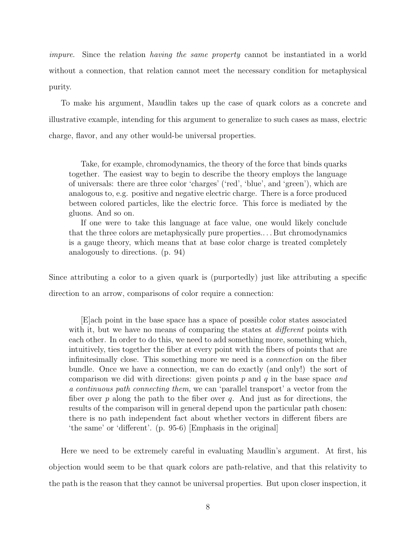impure. Since the relation having the same property cannot be instantiated in a world without a connection, that relation cannot meet the necessary condition for metaphysical purity.

To make his argument, Maudlin takes up the case of quark colors as a concrete and illustrative example, intending for this argument to generalize to such cases as mass, electric charge, flavor, and any other would-be universal properties.

Take, for example, chromodynamics, the theory of the force that binds quarks together. The easiest way to begin to describe the theory employs the language of universals: there are three color 'charges' ('red', 'blue', and 'green'), which are analogous to, e.g. positive and negative electric charge. There is a force produced between colored particles, like the electric force. This force is mediated by the gluons. And so on.

If one were to take this language at face value, one would likely conclude that the three colors are metaphysically pure properties.. . . But chromodynamics is a gauge theory, which means that at base color charge is treated completely analogously to directions. (p. 94)

Since attributing a color to a given quark is (purportedly) just like attributing a specific direction to an arrow, comparisons of color require a connection:

[E]ach point in the base space has a space of possible color states associated with it, but we have no means of comparing the states at *different* points with each other. In order to do this, we need to add something more, something which, intuitively, ties together the fiber at every point with the fibers of points that are infinitesimally close. This something more we need is a connection on the fiber bundle. Once we have a connection, we can do exactly (and only!) the sort of comparison we did with directions: given points  $p$  and  $q$  in the base space and a continuous path connecting them, we can 'parallel transport' a vector from the fiber over p along the path to the fiber over q. And just as for directions, the results of the comparison will in general depend upon the particular path chosen: there is no path independent fact about whether vectors in different fibers are 'the same' or 'different'. (p. 95-6) [Emphasis in the original]

Here we need to be extremely careful in evaluating Maudlin's argument. At first, his objection would seem to be that quark colors are path-relative, and that this relativity to the path is the reason that they cannot be universal properties. But upon closer inspection, it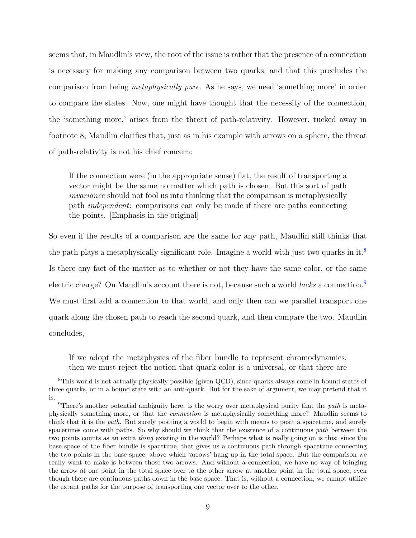seems that, in Maudlin's view, the root of the issue is rather that the presence of a connection is necessary for making any comparison between two quarks, and that this precludes the comparison from being metaphysically pure. As he says, we need 'something more' in order to compare the states. Now, one might have thought that the necessity of the connection, the 'something more,' arises from the threat of path-relativity. However, tucked away in footnote 8, Maudlin clarifies that, just as in his example with arrows on a sphere, the threat of path-relativity is not his chief concern:

If the connection were (in the appropriate sense) flat, the result of transporting a vector might be the same no matter which path is chosen. But this sort of path invariance should not fool us into thinking that the comparison is metaphysically path independent: comparisons can only be made if there are paths connecting the points. [Emphasis in the original]

So even if the results of a comparison are the same for any path, Maudlin still thinks that the path plays a metaphysically significant role. Imagine a world with just two quarks in it.<sup>[8](#page-8-0)</sup> Is there any fact of the matter as to whether or not they have the same color, or the same electric charge? On Maudlin's account there is not, because such a world *lacks* a connection.<sup>[9](#page-8-1)</sup> We must first add a connection to that world, and only then can we parallel transport one quark along the chosen path to reach the second quark, and then compare the two. Maudlin concludes,

If we adopt the metaphysics of the fiber bundle to represent chromodynamics, then we must reject the notion that quark color is a universal, or that there are

<span id="page-8-0"></span><sup>8</sup>This world is not actually physically possible (given QCD), since quarks always come in bound states of three quarks, or in a bound state with an anti-quark. But for the sake of argument, we may pretend that it is.

<span id="page-8-1"></span><sup>&</sup>lt;sup>9</sup>There's another potential ambiguity here: is the worry over metaphysical purity that the *path* is metaphysically something more, or that the connection is metaphysically something more? Maudlin seems to think that it is the path. But surely positing a world to begin with means to posit a spacetime, and surely spacetimes come with paths. So why should we think that the existence of a continuous path between the two points counts as an extra thing existing in the world? Perhaps what is really going on is this: since the base space of the fiber bundle is spacetime, that gives us a continuous path through spacetime connecting the two points in the base space, above which 'arrows' hang up in the total space. But the comparison we really want to make is between those two arrows. And without a connection, we have no way of bringing the arrow at one point in the total space over to the other arrow at another point in the total space, even though there are continuous paths down in the base space. That is, without a connection, we cannot utilize the extant paths for the purpose of transporting one vector over to the other.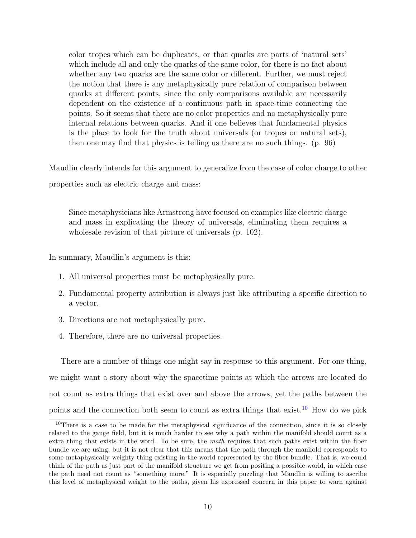color tropes which can be duplicates, or that quarks are parts of 'natural sets' which include all and only the quarks of the same color, for there is no fact about whether any two quarks are the same color or different. Further, we must reject the notion that there is any metaphysically pure relation of comparison between quarks at different points, since the only comparisons available are necessarily dependent on the existence of a continuous path in space-time connecting the points. So it seems that there are no color properties and no metaphysically pure internal relations between quarks. And if one believes that fundamental physics is the place to look for the truth about universals (or tropes or natural sets), then one may find that physics is telling us there are no such things. (p. 96)

Maudlin clearly intends for this argument to generalize from the case of color charge to other

properties such as electric charge and mass:

Since metaphysicians like Armstrong have focused on examples like electric charge and mass in explicating the theory of universals, eliminating them requires a wholesale revision of that picture of universals (p. 102).

In summary, Maudlin's argument is this:

- 1. All universal properties must be metaphysically pure.
- 2. Fundamental property attribution is always just like attributing a specific direction to a vector.
- 3. Directions are not metaphysically pure.
- 4. Therefore, there are no universal properties.

There are a number of things one might say in response to this argument. For one thing, we might want a story about why the spacetime points at which the arrows are located do not count as extra things that exist over and above the arrows, yet the paths between the points and the connection both seem to count as extra things that exist.<sup>[10](#page-9-0)</sup> How do we pick

<span id="page-9-0"></span><sup>&</sup>lt;sup>10</sup>There is a case to be made for the metaphysical significance of the connection, since it is so closely related to the gauge field, but it is much harder to see why a path within the manifold should count as a extra thing that exists in the word. To be sure, the math requires that such paths exist within the fiber bundle we are using, but it is not clear that this means that the path through the manifold corresponds to some metaphysically weighty thing existing in the world represented by the fiber bundle. That is, we could think of the path as just part of the manifold structure we get from positing a possible world, in which case the path need not count as "something more." It is especially puzzling that Maudlin is willing to ascribe this level of metaphysical weight to the paths, given his expressed concern in this paper to warn against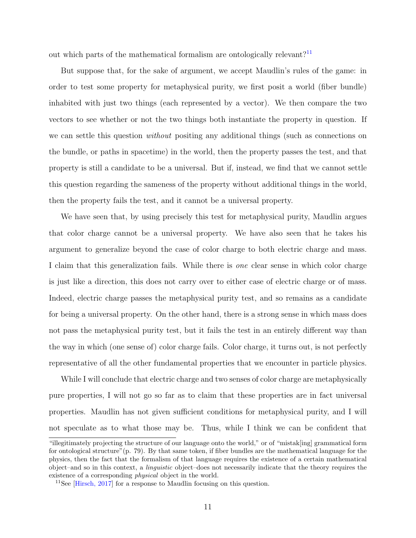<span id="page-10-1"></span>out which parts of the mathematical formalism are ontologically relevant?<sup>[11](#page-10-0)</sup>

But suppose that, for the sake of argument, we accept Maudlin's rules of the game: in order to test some property for metaphysical purity, we first posit a world (fiber bundle) inhabited with just two things (each represented by a vector). We then compare the two vectors to see whether or not the two things both instantiate the property in question. If we can settle this question *without* positing any additional things (such as connections on the bundle, or paths in spacetime) in the world, then the property passes the test, and that property is still a candidate to be a universal. But if, instead, we find that we cannot settle this question regarding the sameness of the property without additional things in the world, then the property fails the test, and it cannot be a universal property.

We have seen that, by using precisely this test for metaphysical purity, Maudlin argues that color charge cannot be a universal property. We have also seen that he takes his argument to generalize beyond the case of color charge to both electric charge and mass. I claim that this generalization fails. While there is one clear sense in which color charge is just like a direction, this does not carry over to either case of electric charge or of mass. Indeed, electric charge passes the metaphysical purity test, and so remains as a candidate for being a universal property. On the other hand, there is a strong sense in which mass does not pass the metaphysical purity test, but it fails the test in an entirely different way than the way in which (one sense of) color charge fails. Color charge, it turns out, is not perfectly representative of all the other fundamental properties that we encounter in particle physics.

While I will conclude that electric charge and two senses of color charge are metaphysically pure properties, I will not go so far as to claim that these properties are in fact universal properties. Maudlin has not given sufficient conditions for metaphysical purity, and I will not speculate as to what those may be. Thus, while I think we can be confident that

<sup>&</sup>quot;illegitimately projecting the structure of our language onto the world," or of "mistak[ing] grammatical form for ontological structure"(p. 79). By that same token, if fiber bundles are the mathematical language for the physics, then the fact that the formalism of that language requires the existence of a certain mathematical object–and so in this context, a linguistic object–does not necessarily indicate that the theory requires the existence of a corresponding physical object in the world.

<span id="page-10-0"></span><sup>&</sup>lt;sup>11</sup>See [\[Hirsch, 2017\]](#page-28-3) for a response to Maudlin focusing on this question.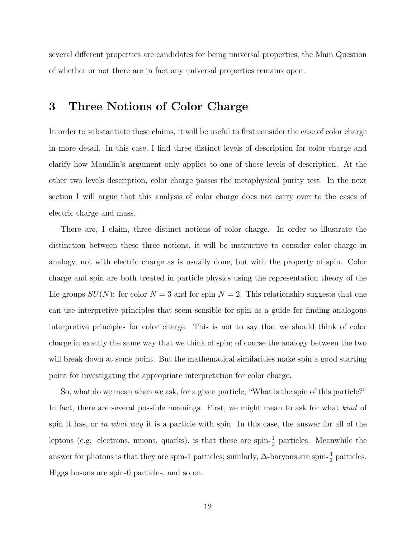several different properties are candidates for being universal properties, the Main Question of whether or not there are in fact any universal properties remains open.

### <span id="page-11-0"></span>3 Three Notions of Color Charge

In order to substantiate these claims, it will be useful to first consider the case of color charge in more detail. In this case, I find three distinct levels of description for color charge and clarify how Maudlin's argument only applies to one of those levels of description. At the other two levels description, color charge passes the metaphysical purity test. In the next section I will argue that this analysis of color charge does not carry over to the cases of electric charge and mass.

There are, I claim, three distinct notions of color charge. In order to illustrate the distinction between these three notions, it will be instructive to consider color charge in analogy, not with electric charge as is usually done, but with the property of spin. Color charge and spin are both treated in particle physics using the representation theory of the Lie groups  $SU(N)$ : for color  $N = 3$  and for spin  $N = 2$ . This relationship suggests that one can use interpretive principles that seem sensible for spin as a guide for finding analogous interpretive principles for color charge. This is not to say that we should think of color charge in exactly the same way that we think of spin; of course the analogy between the two will break down at some point. But the mathematical similarities make spin a good starting point for investigating the appropriate interpretation for color charge.

So, what do we mean when we ask, for a given particle, "What is the spin of this particle?" In fact, there are several possible meanings. First, we might mean to ask for what kind of spin it has, or in what way it is a particle with spin. In this case, the answer for all of the leptons (e.g. electrons, muons, quarks), is that these are spin- $\frac{1}{2}$  particles. Meanwhile the answer for photons is that they are spin-1 particles; similarly,  $\Delta$ -baryons are spin- $\frac{3}{2}$  particles, Higgs bosons are spin-0 particles, and so on.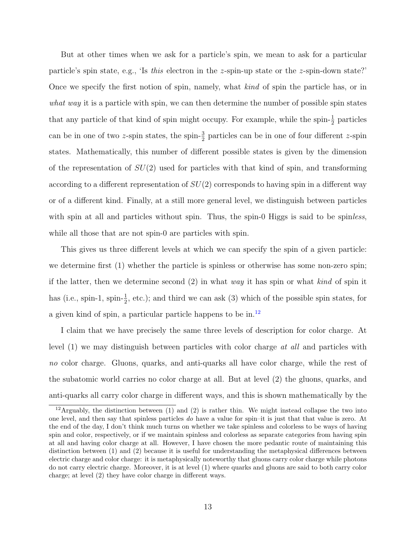But at other times when we ask for a particle's spin, we mean to ask for a particular particle's spin state, e.g., 'Is this electron in the z-spin-up state or the z-spin-down state?' Once we specify the first notion of spin, namely, what kind of spin the particle has, or in what way it is a particle with spin, we can then determine the number of possible spin states that any particle of that kind of spin might occupy. For example, while the spin- $\frac{1}{2}$  particles can be in one of two z-spin states, the spin- $\frac{3}{2}$  particles can be in one of four different z-spin states. Mathematically, this number of different possible states is given by the dimension of the representation of  $SU(2)$  used for particles with that kind of spin, and transforming according to a different representation of  $SU(2)$  corresponds to having spin in a different way or of a different kind. Finally, at a still more general level, we distinguish between particles with spin at all and particles without spin. Thus, the spin-0 Higgs is said to be spinless, while all those that are not spin-0 are particles with spin.

This gives us three different levels at which we can specify the spin of a given particle: we determine first (1) whether the particle is spinless or otherwise has some non-zero spin; if the latter, then we determine second  $(2)$  in what way it has spin or what kind of spin it has (i.e., spin-1, spin- $\frac{1}{2}$ , etc.); and third we can ask (3) which of the possible spin states, for a given kind of spin, a particular particle happens to be in.[12](#page-12-0)

I claim that we have precisely the same three levels of description for color charge. At level (1) we may distinguish between particles with color charge at all and particles with no color charge. Gluons, quarks, and anti-quarks all have color charge, while the rest of the subatomic world carries no color charge at all. But at level (2) the gluons, quarks, and anti-quarks all carry color charge in different ways, and this is shown mathematically by the

<span id="page-12-0"></span> $12$ Arguably, the distinction between (1) and (2) is rather thin. We might instead collapse the two into one level, and then say that spinless particles do have a value for spin–it is just that that value is zero. At the end of the day, I don't think much turns on whether we take spinless and colorless to be ways of having spin and color, respectively, or if we maintain spinless and colorless as separate categories from having spin at all and having color charge at all. However, I have chosen the more pedantic route of maintaining this distinction between (1) and (2) because it is useful for understanding the metaphysical differences between electric charge and color charge: it is metaphysically noteworthy that gluons carry color charge while photons do not carry electric charge. Moreover, it is at level (1) where quarks and gluons are said to both carry color charge; at level (2) they have color charge in different ways.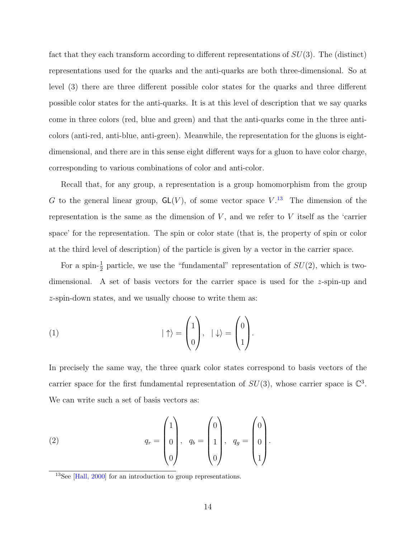<span id="page-13-1"></span>fact that they each transform according to different representations of  $SU(3)$ . The (distinct) representations used for the quarks and the anti-quarks are both three-dimensional. So at level (3) there are three different possible color states for the quarks and three different possible color states for the anti-quarks. It is at this level of description that we say quarks come in three colors (red, blue and green) and that the anti-quarks come in the three anticolors (anti-red, anti-blue, anti-green). Meanwhile, the representation for the gluons is eightdimensional, and there are in this sense eight different ways for a gluon to have color charge, corresponding to various combinations of color and anti-color.

Recall that, for any group, a representation is a group homomorphism from the group G to the general linear group,  $GL(V)$ , of some vector space  $V^{13}$  $V^{13}$  $V^{13}$ . The dimension of the representation is the same as the dimension of  $V$ , and we refer to  $V$  itself as the 'carrier space' for the representation. The spin or color state (that is, the property of spin or color at the third level of description) of the particle is given by a vector in the carrier space.

For a spin- $\frac{1}{2}$  particle, we use the "fundamental" representation of  $SU(2)$ , which is twodimensional. A set of basis vectors for the carrier space is used for the  $z$ -spin-up and z-spin-down states, and we usually choose to write them as:

(1) 
$$
|\uparrow\rangle = \begin{pmatrix} 1 \\ 0 \end{pmatrix}, \quad |\downarrow\rangle = \begin{pmatrix} 0 \\ 1 \end{pmatrix}.
$$

In precisely the same way, the three quark color states correspond to basis vectors of the carrier space for the first fundamental representation of  $SU(3)$ , whose carrier space is  $\mathbb{C}^3$ . We can write such a set of basis vectors as:

(2) 
$$
q_r = \begin{pmatrix} 1 \\ 0 \\ 0 \end{pmatrix}, q_b = \begin{pmatrix} 0 \\ 1 \\ 0 \end{pmatrix}, q_g = \begin{pmatrix} 0 \\ 0 \\ 1 \end{pmatrix}.
$$

<span id="page-13-0"></span><sup>13</sup>See [\[Hall, 2000\]](#page-28-4) for an introduction to group representations.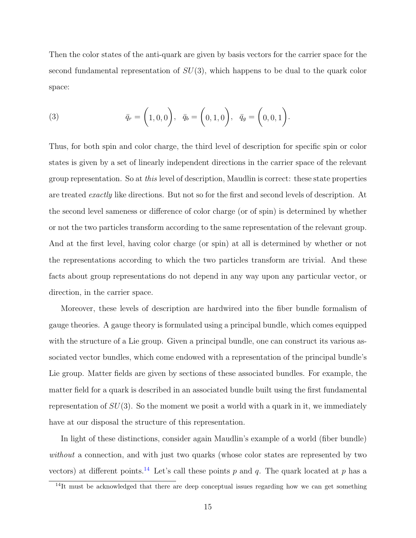Then the color states of the anti-quark are given by basis vectors for the carrier space for the second fundamental representation of  $SU(3)$ , which happens to be dual to the quark color space:

(3) 
$$
\bar{q}_r = (1, 0, 0), \quad \bar{q}_b = (0, 1, 0), \quad \bar{q}_g = (0, 0, 1).
$$

Thus, for both spin and color charge, the third level of description for specific spin or color states is given by a set of linearly independent directions in the carrier space of the relevant group representation. So at this level of description, Maudlin is correct: these state properties are treated exactly like directions. But not so for the first and second levels of description. At the second level sameness or difference of color charge (or of spin) is determined by whether or not the two particles transform according to the same representation of the relevant group. And at the first level, having color charge (or spin) at all is determined by whether or not the representations according to which the two particles transform are trivial. And these facts about group representations do not depend in any way upon any particular vector, or direction, in the carrier space.

Moreover, these levels of description are hardwired into the fiber bundle formalism of gauge theories. A gauge theory is formulated using a principal bundle, which comes equipped with the structure of a Lie group. Given a principal bundle, one can construct its various associated vector bundles, which come endowed with a representation of the principal bundle's Lie group. Matter fields are given by sections of these associated bundles. For example, the matter field for a quark is described in an associated bundle built using the first fundamental representation of  $SU(3)$ . So the moment we posit a world with a quark in it, we immediately have at our disposal the structure of this representation.

In light of these distinctions, consider again Maudlin's example of a world (fiber bundle) without a connection, and with just two quarks (whose color states are represented by two vectors) at different points.<sup>[14](#page-14-0)</sup> Let's call these points p and q. The quark located at p has a

<span id="page-14-0"></span><sup>&</sup>lt;sup>14</sup>It must be acknowledged that there are deep conceptual issues regarding how we can get something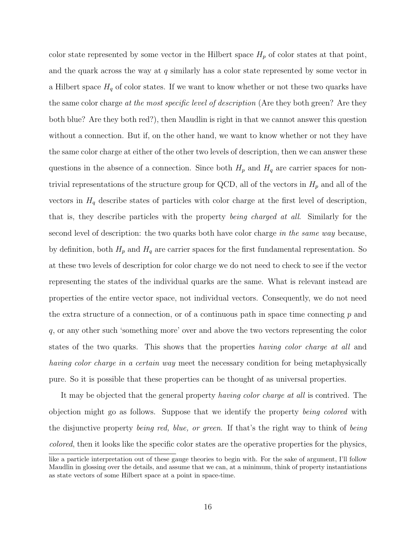color state represented by some vector in the Hilbert space  $H_p$  of color states at that point, and the quark across the way at  $q$  similarly has a color state represented by some vector in a Hilbert space  $H_q$  of color states. If we want to know whether or not these two quarks have the same color charge at the most specific level of description (Are they both green? Are they both blue? Are they both red?), then Maudlin is right in that we cannot answer this question without a connection. But if, on the other hand, we want to know whether or not they have the same color charge at either of the other two levels of description, then we can answer these questions in the absence of a connection. Since both  $H_p$  and  $H_q$  are carrier spaces for nontrivial representations of the structure group for QCD, all of the vectors in  $H_p$  and all of the vectors in  $H_q$  describe states of particles with color charge at the first level of description, that is, they describe particles with the property being charged at all. Similarly for the second level of description: the two quarks both have color charge in the same way because, by definition, both  $H_p$  and  $H_q$  are carrier spaces for the first fundamental representation. So at these two levels of description for color charge we do not need to check to see if the vector representing the states of the individual quarks are the same. What is relevant instead are properties of the entire vector space, not individual vectors. Consequently, we do not need the extra structure of a connection, or of a continuous path in space time connecting  $p$  and q, or any other such 'something more' over and above the two vectors representing the color states of the two quarks. This shows that the properties *having color charge at all* and having color charge in a certain way meet the necessary condition for being metaphysically pure. So it is possible that these properties can be thought of as universal properties.

It may be objected that the general property *having color charge at all* is contrived. The objection might go as follows. Suppose that we identify the property being colored with the disjunctive property being red, blue, or green. If that's the right way to think of being colored, then it looks like the specific color states are the operative properties for the physics,

like a particle interpretation out of these gauge theories to begin with. For the sake of argument, I'll follow Maudlin in glossing over the details, and assume that we can, at a minimum, think of property instantiations as state vectors of some Hilbert space at a point in space-time.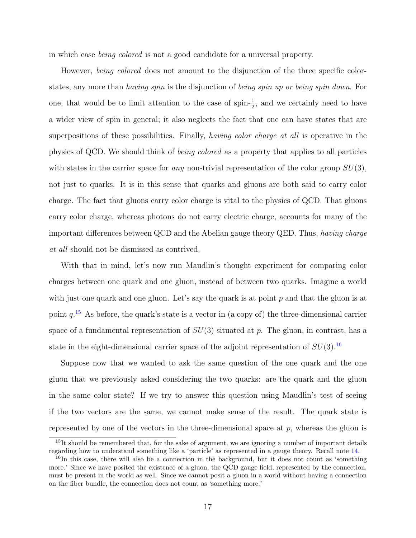in which case being colored is not a good candidate for a universal property.

However, *being colored* does not amount to the disjunction of the three specific colorstates, any more than *having spin* is the disjunction of *being spin up or being spin down*. For one, that would be to limit attention to the case of spin- $\frac{1}{2}$ , and we certainly need to have a wider view of spin in general; it also neglects the fact that one can have states that are superpositions of these possibilities. Finally, *having color charge at all* is operative in the physics of QCD. We should think of being colored as a property that applies to all particles with states in the carrier space for any non-trivial representation of the color group  $SU(3)$ , not just to quarks. It is in this sense that quarks and gluons are both said to carry color charge. The fact that gluons carry color charge is vital to the physics of QCD. That gluons carry color charge, whereas photons do not carry electric charge, accounts for many of the important differences between QCD and the Abelian gauge theory QED. Thus, having charge at all should not be dismissed as contrived.

With that in mind, let's now run Maudlin's thought experiment for comparing color charges between one quark and one gluon, instead of between two quarks. Imagine a world with just one quark and one gluon. Let's say the quark is at point  $p$  and that the gluon is at point  $q^{15}$  $q^{15}$  $q^{15}$ . As before, the quark's state is a vector in (a copy of) the three-dimensional carrier space of a fundamental representation of  $SU(3)$  situated at p. The gluon, in contrast, has a state in the eight-dimensional carrier space of the adjoint representation of  $SU(3).^{16}$  $SU(3).^{16}$  $SU(3).^{16}$ 

Suppose now that we wanted to ask the same question of the one quark and the one gluon that we previously asked considering the two quarks: are the quark and the gluon in the same color state? If we try to answer this question using Maudlin's test of seeing if the two vectors are the same, we cannot make sense of the result. The quark state is represented by one of the vectors in the three-dimensional space at  $p$ , whereas the gluon is

<span id="page-16-0"></span><sup>&</sup>lt;sup>15</sup>It should be remembered that, for the sake of argument, we are ignoring a number of important details regarding how to understand something like a 'particle' as represented in a gauge theory. Recall note [14.](#page-14-0)

<span id="page-16-1"></span><sup>&</sup>lt;sup>16</sup>In this case, there will also be a connection in the background, but it does not count as 'something more.' Since we have posited the existence of a gluon, the QCD gauge field, represented by the connection, must be present in the world as well. Since we cannot posit a gluon in a world without having a connection on the fiber bundle, the connection does not count as 'something more.'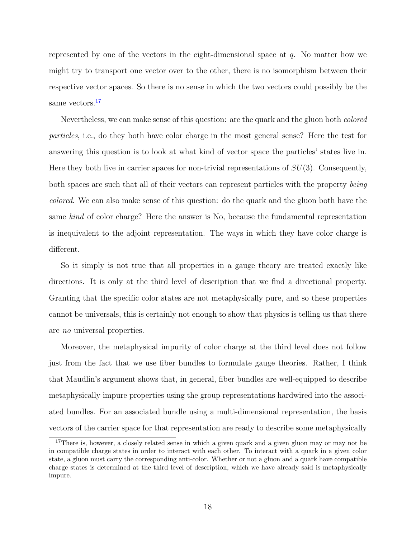represented by one of the vectors in the eight-dimensional space at  $q$ . No matter how we might try to transport one vector over to the other, there is no isomorphism between their respective vector spaces. So there is no sense in which the two vectors could possibly be the same vectors.<sup>[17](#page-17-0)</sup>

Nevertheless, we can make sense of this question: are the quark and the gluon both *colored* particles, i.e., do they both have color charge in the most general sense? Here the test for answering this question is to look at what kind of vector space the particles' states live in. Here they both live in carrier spaces for non-trivial representations of  $SU(3)$ . Consequently, both spaces are such that all of their vectors can represent particles with the property being colored. We can also make sense of this question: do the quark and the gluon both have the same kind of color charge? Here the answer is No, because the fundamental representation is inequivalent to the adjoint representation. The ways in which they have color charge is different.

So it simply is not true that all properties in a gauge theory are treated exactly like directions. It is only at the third level of description that we find a directional property. Granting that the specific color states are not metaphysically pure, and so these properties cannot be universals, this is certainly not enough to show that physics is telling us that there are no universal properties.

Moreover, the metaphysical impurity of color charge at the third level does not follow just from the fact that we use fiber bundles to formulate gauge theories. Rather, I think that Maudlin's argument shows that, in general, fiber bundles are well-equipped to describe metaphysically impure properties using the group representations hardwired into the associated bundles. For an associated bundle using a multi-dimensional representation, the basis vectors of the carrier space for that representation are ready to describe some metaphysically

<span id="page-17-0"></span><sup>&</sup>lt;sup>17</sup>There is, however, a closely related sense in which a given quark and a given gluon may or may not be in compatible charge states in order to interact with each other. To interact with a quark in a given color state, a gluon must carry the corresponding anti-color. Whether or not a gluon and a quark have compatible charge states is determined at the third level of description, which we have already said is metaphysically impure.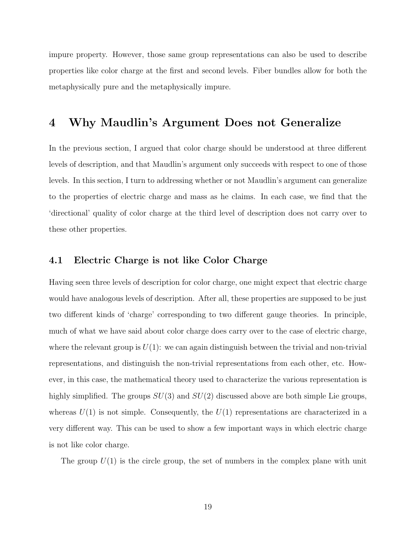impure property. However, those same group representations can also be used to describe properties like color charge at the first and second levels. Fiber bundles allow for both the metaphysically pure and the metaphysically impure.

#### <span id="page-18-0"></span>4 Why Maudlin's Argument Does not Generalize

In the previous section, I argued that color charge should be understood at three different levels of description, and that Maudlin's argument only succeeds with respect to one of those levels. In this section, I turn to addressing whether or not Maudlin's argument can generalize to the properties of electric charge and mass as he claims. In each case, we find that the 'directional' quality of color charge at the third level of description does not carry over to these other properties.

#### 4.1 Electric Charge is not like Color Charge

Having seen three levels of description for color charge, one might expect that electric charge would have analogous levels of description. After all, these properties are supposed to be just two different kinds of 'charge' corresponding to two different gauge theories. In principle, much of what we have said about color charge does carry over to the case of electric charge, where the relevant group is  $U(1)$ : we can again distinguish between the trivial and non-trivial representations, and distinguish the non-trivial representations from each other, etc. However, in this case, the mathematical theory used to characterize the various representation is highly simplified. The groups  $SU(3)$  and  $SU(2)$  discussed above are both simple Lie groups, whereas  $U(1)$  is not simple. Consequently, the  $U(1)$  representations are characterized in a very different way. This can be used to show a few important ways in which electric charge is not like color charge.

The group  $U(1)$  is the circle group, the set of numbers in the complex plane with unit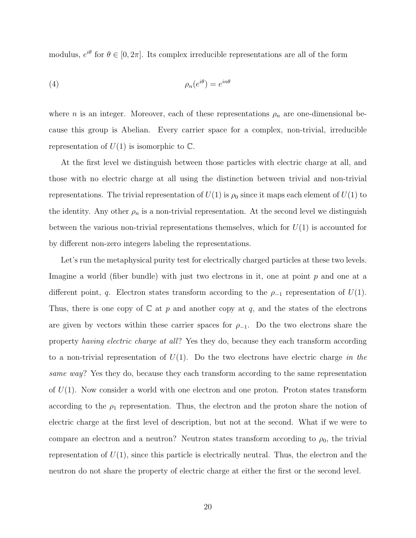modulus,  $e^{i\theta}$  for  $\theta \in [0, 2\pi]$ . Its complex irreducible representations are all of the form

$$
\rho_n(e^{i\theta}) = e^{in\theta}
$$

where *n* is an integer. Moreover, each of these representations  $\rho_n$  are one-dimensional because this group is Abelian. Every carrier space for a complex, non-trivial, irreducible representation of  $U(1)$  is isomorphic to  $\mathbb{C}$ .

At the first level we distinguish between those particles with electric charge at all, and those with no electric charge at all using the distinction between trivial and non-trivial representations. The trivial representation of  $U(1)$  is  $\rho_0$  since it maps each element of  $U(1)$  to the identity. Any other  $\rho_n$  is a non-trivial representation. At the second level we distinguish between the various non-trivial representations themselves, which for  $U(1)$  is accounted for by different non-zero integers labeling the representations.

Let's run the metaphysical purity test for electrically charged particles at these two levels. Imagine a world (fiber bundle) with just two electrons in it, one at point  $p$  and one at a different point, q. Electron states transform according to the  $\rho_{-1}$  representation of  $U(1)$ . Thus, there is one copy of  $\mathbb C$  at p and another copy at q, and the states of the electrons are given by vectors within these carrier spaces for  $\rho_{-1}$ . Do the two electrons share the property having electric charge at all? Yes they do, because they each transform according to a non-trivial representation of  $U(1)$ . Do the two electrons have electric charge in the same way? Yes they do, because they each transform according to the same representation of  $U(1)$ . Now consider a world with one electron and one proton. Proton states transform according to the  $\rho_1$  representation. Thus, the electron and the proton share the notion of electric charge at the first level of description, but not at the second. What if we were to compare an electron and a neutron? Neutron states transform according to  $\rho_0$ , the trivial representation of  $U(1)$ , since this particle is electrically neutral. Thus, the electron and the neutron do not share the property of electric charge at either the first or the second level.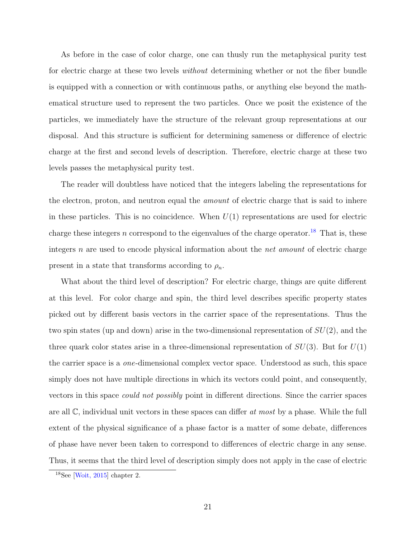<span id="page-20-1"></span>As before in the case of color charge, one can thusly run the metaphysical purity test for electric charge at these two levels *without* determining whether or not the fiber bundle is equipped with a connection or with continuous paths, or anything else beyond the mathematical structure used to represent the two particles. Once we posit the existence of the particles, we immediately have the structure of the relevant group representations at our disposal. And this structure is sufficient for determining sameness or difference of electric charge at the first and second levels of description. Therefore, electric charge at these two levels passes the metaphysical purity test.

The reader will doubtless have noticed that the integers labeling the representations for the electron, proton, and neutron equal the *amount* of electric charge that is said to inhere in these particles. This is no coincidence. When  $U(1)$  representations are used for electric charge these integers n correspond to the eigenvalues of the charge operator.<sup>[18](#page-20-0)</sup> That is, these integers n are used to encode physical information about the net amount of electric charge present in a state that transforms according to  $\rho_n$ .

What about the third level of description? For electric charge, things are quite different at this level. For color charge and spin, the third level describes specific property states picked out by different basis vectors in the carrier space of the representations. Thus the two spin states (up and down) arise in the two-dimensional representation of  $SU(2)$ , and the three quark color states arise in a three-dimensional representation of  $SU(3)$ . But for  $U(1)$ the carrier space is a one-dimensional complex vector space. Understood as such, this space simply does not have multiple directions in which its vectors could point, and consequently, vectors in this space could not possibly point in different directions. Since the carrier spaces are all  $\mathbb{C}$ , individual unit vectors in these spaces can differ at most by a phase. While the full extent of the physical significance of a phase factor is a matter of some debate, differences of phase have never been taken to correspond to differences of electric charge in any sense. Thus, it seems that the third level of description simply does not apply in the case of electric

<span id="page-20-0"></span> $18$ See [\[Woit, 2015\]](#page-29-1) chapter 2.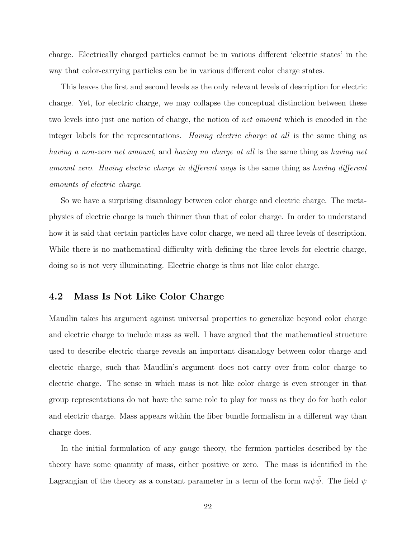charge. Electrically charged particles cannot be in various different 'electric states' in the way that color-carrying particles can be in various different color charge states.

This leaves the first and second levels as the only relevant levels of description for electric charge. Yet, for electric charge, we may collapse the conceptual distinction between these two levels into just one notion of charge, the notion of net amount which is encoded in the integer labels for the representations. Having electric charge at all is the same thing as having a non-zero net amount, and having no charge at all is the same thing as having net amount zero. Having electric charge in different ways is the same thing as having different amounts of electric charge.

So we have a surprising disanalogy between color charge and electric charge. The metaphysics of electric charge is much thinner than that of color charge. In order to understand how it is said that certain particles have color charge, we need all three levels of description. While there is no mathematical difficulty with defining the three levels for electric charge, doing so is not very illuminating. Electric charge is thus not like color charge.

#### 4.2 Mass Is Not Like Color Charge

Maudlin takes his argument against universal properties to generalize beyond color charge and electric charge to include mass as well. I have argued that the mathematical structure used to describe electric charge reveals an important disanalogy between color charge and electric charge, such that Maudlin's argument does not carry over from color charge to electric charge. The sense in which mass is not like color charge is even stronger in that group representations do not have the same role to play for mass as they do for both color and electric charge. Mass appears within the fiber bundle formalism in a different way than charge does.

In the initial formulation of any gauge theory, the fermion particles described by the theory have some quantity of mass, either positive or zero. The mass is identified in the Lagrangian of the theory as a constant parameter in a term of the form  $m\psi\bar{\psi}$ . The field  $\psi$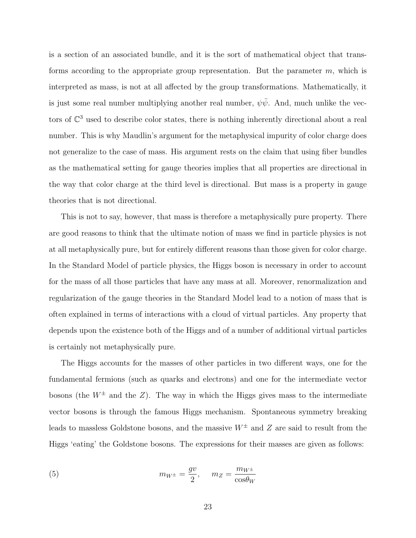is a section of an associated bundle, and it is the sort of mathematical object that transforms according to the appropriate group representation. But the parameter  $m$ , which is interpreted as mass, is not at all affected by the group transformations. Mathematically, it is just some real number multiplying another real number,  $\psi \bar{\psi}$ . And, much unlike the vectors of  $\mathbb{C}^3$  used to describe color states, there is nothing inherently directional about a real number. This is why Maudlin's argument for the metaphysical impurity of color charge does not generalize to the case of mass. His argument rests on the claim that using fiber bundles as the mathematical setting for gauge theories implies that all properties are directional in the way that color charge at the third level is directional. But mass is a property in gauge theories that is not directional.

This is not to say, however, that mass is therefore a metaphysically pure property. There are good reasons to think that the ultimate notion of mass we find in particle physics is not at all metaphysically pure, but for entirely different reasons than those given for color charge. In the Standard Model of particle physics, the Higgs boson is necessary in order to account for the mass of all those particles that have any mass at all. Moreover, renormalization and regularization of the gauge theories in the Standard Model lead to a notion of mass that is often explained in terms of interactions with a cloud of virtual particles. Any property that depends upon the existence both of the Higgs and of a number of additional virtual particles is certainly not metaphysically pure.

The Higgs accounts for the masses of other particles in two different ways, one for the fundamental fermions (such as quarks and electrons) and one for the intermediate vector bosons (the  $W^{\pm}$  and the Z). The way in which the Higgs gives mass to the intermediate vector bosons is through the famous Higgs mechanism. Spontaneous symmetry breaking leads to massless Goldstone bosons, and the massive  $W^{\pm}$  and Z are said to result from the Higgs 'eating' the Goldstone bosons. The expressions for their masses are given as follows:

<span id="page-22-0"></span>(5) 
$$
m_{W^{\pm}} = \frac{gv}{2}, \quad m_Z = \frac{m_{W^{\pm}}}{\cos \theta_W}
$$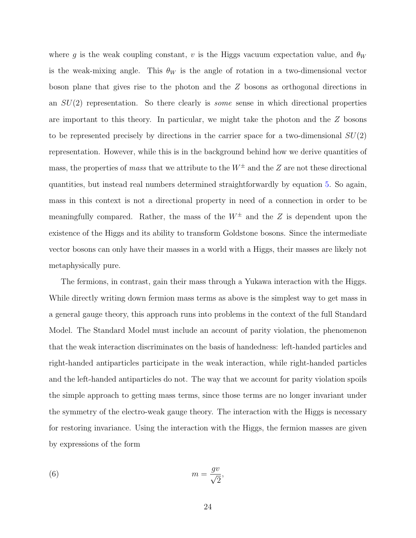where g is the weak coupling constant, v is the Higgs vacuum expectation value, and  $\theta_W$ is the weak-mixing angle. This  $\theta_W$  is the angle of rotation in a two-dimensional vector boson plane that gives rise to the photon and the Z bosons as orthogonal directions in an  $SU(2)$  representation. So there clearly is *some* sense in which directional properties are important to this theory. In particular, we might take the photon and the  $Z$  bosons to be represented precisely by directions in the carrier space for a two-dimensional  $SU(2)$ representation. However, while this is in the background behind how we derive quantities of mass, the properties of mass that we attribute to the  $W^{\pm}$  and the Z are not these directional quantities, but instead real numbers determined straightforwardly by equation [5.](#page-22-0) So again, mass in this context is not a directional property in need of a connection in order to be meaningfully compared. Rather, the mass of the  $W^{\pm}$  and the Z is dependent upon the existence of the Higgs and its ability to transform Goldstone bosons. Since the intermediate vector bosons can only have their masses in a world with a Higgs, their masses are likely not metaphysically pure.

The fermions, in contrast, gain their mass through a Yukawa interaction with the Higgs. While directly writing down fermion mass terms as above is the simplest way to get mass in a general gauge theory, this approach runs into problems in the context of the full Standard Model. The Standard Model must include an account of parity violation, the phenomenon that the weak interaction discriminates on the basis of handedness: left-handed particles and right-handed antiparticles participate in the weak interaction, while right-handed particles and the left-handed antiparticles do not. The way that we account for parity violation spoils the simple approach to getting mass terms, since those terms are no longer invariant under the symmetry of the electro-weak gauge theory. The interaction with the Higgs is necessary for restoring invariance. Using the interaction with the Higgs, the fermion masses are given by expressions of the form

(6) 
$$
m = \frac{gv}{\sqrt{2}},
$$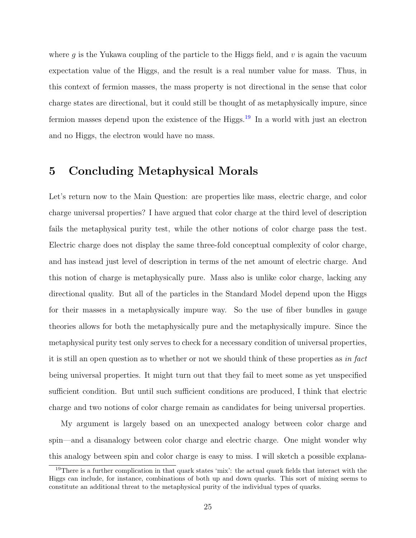where g is the Yukawa coupling of the particle to the Higgs field, and  $v$  is again the vacuum expectation value of the Higgs, and the result is a real number value for mass. Thus, in this context of fermion masses, the mass property is not directional in the sense that color charge states are directional, but it could still be thought of as metaphysically impure, since fermion masses depend upon the existence of the Higgs.<sup>[19](#page-24-1)</sup> In a world with just an electron and no Higgs, the electron would have no mass.

### <span id="page-24-0"></span>5 Concluding Metaphysical Morals

Let's return now to the Main Question: are properties like mass, electric charge, and color charge universal properties? I have argued that color charge at the third level of description fails the metaphysical purity test, while the other notions of color charge pass the test. Electric charge does not display the same three-fold conceptual complexity of color charge, and has instead just level of description in terms of the net amount of electric charge. And this notion of charge is metaphysically pure. Mass also is unlike color charge, lacking any directional quality. But all of the particles in the Standard Model depend upon the Higgs for their masses in a metaphysically impure way. So the use of fiber bundles in gauge theories allows for both the metaphysically pure and the metaphysically impure. Since the metaphysical purity test only serves to check for a necessary condition of universal properties, it is still an open question as to whether or not we should think of these properties as in fact being universal properties. It might turn out that they fail to meet some as yet unspecified sufficient condition. But until such sufficient conditions are produced, I think that electric charge and two notions of color charge remain as candidates for being universal properties.

My argument is largely based on an unexpected analogy between color charge and spin—and a disanalogy between color charge and electric charge. One might wonder why this analogy between spin and color charge is easy to miss. I will sketch a possible explana-

<span id="page-24-1"></span><sup>19</sup>There is a further complication in that quark states 'mix': the actual quark fields that interact with the Higgs can include, for instance, combinations of both up and down quarks. This sort of mixing seems to constitute an additional threat to the metaphysical purity of the individual types of quarks.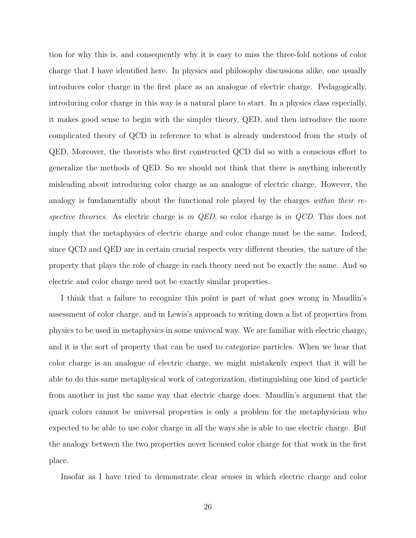tion for why this is, and consequently why it is easy to miss the three-fold notions of color charge that I have identified here. In physics and philosophy discussions alike, one usually introduces color charge in the first place as an analogue of electric charge. Pedagogically, introducing color charge in this way is a natural place to start. In a physics class especially, it makes good sense to begin with the simpler theory, QED, and then introduce the more complicated theory of QCD in reference to what is already understood from the study of QED. Moreover, the theorists who first constructed QCD did so with a conscious effort to generalize the methods of QED. So we should not think that there is anything inherently misleading about introducing color charge as an analogue of electric charge. However, the analogy is fundamentally about the functional role played by the charges within their respective theories. As electric charge is in  $QED$ , so color charge is in  $QCD$ . This does not imply that the metaphysics of electric charge and color change must be the same. Indeed, since QCD and QED are in certain crucial respects very different theories, the nature of the property that plays the role of charge in each theory need not be exactly the same. And so electric and color charge need not be exactly similar properties.

I think that a failure to recognize this point is part of what goes wrong in Maudlin's assessment of color charge, and in Lewis's approach to writing down a list of properties from physics to be used in metaphysics in some univocal way. We are familiar with electric charge, and it is the sort of property that can be used to categorize particles. When we hear that color charge is an analogue of electric charge, we might mistakenly expect that it will be able to do this same metaphysical work of categorization, distinguishing one kind of particle from another in just the same way that electric charge does. Maudlin's argument that the quark colors cannot be universal properties is only a problem for the metaphysician who expected to be able to use color charge in all the ways she is able to use electric charge. But the analogy between the two properties never licensed color charge for that work in the first place.

Insofar as I have tried to demonstrate clear senses in which electric charge and color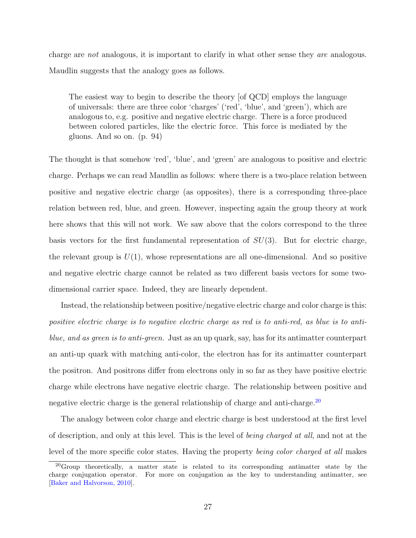<span id="page-26-1"></span>charge are not analogous, it is important to clarify in what other sense they are analogous. Maudlin suggests that the analogy goes as follows.

The easiest way to begin to describe the theory [of QCD] employs the language of universals: there are three color 'charges' ('red', 'blue', and 'green'), which are analogous to, e.g. positive and negative electric charge. There is a force produced between colored particles, like the electric force. This force is mediated by the gluons. And so on. (p. 94)

The thought is that somehow 'red', 'blue', and 'green' are analogous to positive and electric charge. Perhaps we can read Maudlin as follows: where there is a two-place relation between positive and negative electric charge (as opposites), there is a corresponding three-place relation between red, blue, and green. However, inspecting again the group theory at work here shows that this will not work. We saw above that the colors correspond to the three basis vectors for the first fundamental representation of  $SU(3)$ . But for electric charge, the relevant group is  $U(1)$ , whose representations are all one-dimensional. And so positive and negative electric charge cannot be related as two different basis vectors for some twodimensional carrier space. Indeed, they are linearly dependent.

Instead, the relationship between positive/negative electric charge and color charge is this: positive electric charge is to negative electric charge as red is to anti-red, as blue is to antiblue, and as green is to anti-green. Just as an up quark, say, has for its antimatter counterpart an anti-up quark with matching anti-color, the electron has for its antimatter counterpart the positron. And positrons differ from electrons only in so far as they have positive electric charge while electrons have negative electric charge. The relationship between positive and negative electric charge is the general relationship of charge and anti-charge.<sup>[20](#page-26-0)</sup>

The analogy between color charge and electric charge is best understood at the first level of description, and only at this level. This is the level of being charged at all, and not at the level of the more specific color states. Having the property being color charged at all makes

<span id="page-26-0"></span><sup>20</sup>Group theoretically, a matter state is related to its corresponding antimatter state by the charge conjugation operator. For more on conjugation as the key to understanding antimatter, see [\[Baker and Halvorson, 2010\]](#page-28-5).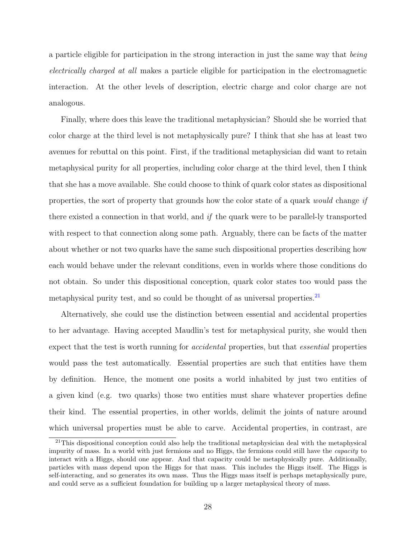a particle eligible for participation in the strong interaction in just the same way that being electrically charged at all makes a particle eligible for participation in the electromagnetic interaction. At the other levels of description, electric charge and color charge are not analogous.

Finally, where does this leave the traditional metaphysician? Should she be worried that color charge at the third level is not metaphysically pure? I think that she has at least two avenues for rebuttal on this point. First, if the traditional metaphysician did want to retain metaphysical purity for all properties, including color charge at the third level, then I think that she has a move available. She could choose to think of quark color states as dispositional properties, the sort of property that grounds how the color state of a quark would change if there existed a connection in that world, and if the quark were to be parallel-ly transported with respect to that connection along some path. Arguably, there can be facts of the matter about whether or not two quarks have the same such dispositional properties describing how each would behave under the relevant conditions, even in worlds where those conditions do not obtain. So under this dispositional conception, quark color states too would pass the metaphysical purity test, and so could be thought of as universal properties.<sup>[21](#page-27-0)</sup>

Alternatively, she could use the distinction between essential and accidental properties to her advantage. Having accepted Maudlin's test for metaphysical purity, she would then expect that the test is worth running for *accidental* properties, but that *essential* properties would pass the test automatically. Essential properties are such that entities have them by definition. Hence, the moment one posits a world inhabited by just two entities of a given kind (e.g. two quarks) those two entities must share whatever properties define their kind. The essential properties, in other worlds, delimit the joints of nature around which universal properties must be able to carve. Accidental properties, in contrast, are

<span id="page-27-0"></span><sup>&</sup>lt;sup>21</sup>This dispositional conception could also help the traditional metaphysician deal with the metaphysical impurity of mass. In a world with just fermions and no Higgs, the fermions could still have the capacity to interact with a Higgs, should one appear. And that capacity could be metaphysically pure. Additionally, particles with mass depend upon the Higgs for that mass. This includes the Higgs itself. The Higgs is self-interacting, and so generates its own mass. Thus the Higgs mass itself is perhaps metaphysically pure, and could serve as a sufficient foundation for building up a larger metaphysical theory of mass.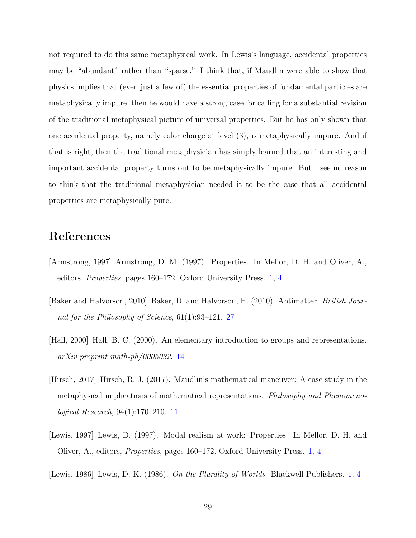not required to do this same metaphysical work. In Lewis's language, accidental properties may be "abundant" rather than "sparse." I think that, if Maudlin were able to show that physics implies that (even just a few of) the essential properties of fundamental particles are metaphysically impure, then he would have a strong case for calling for a substantial revision of the traditional metaphysical picture of universal properties. But he has only shown that one accidental property, namely color charge at level (3), is metaphysically impure. And if that is right, then the traditional metaphysician has simply learned that an interesting and important accidental property turns out to be metaphysically impure. But I see no reason to think that the traditional metaphysician needed it to be the case that all accidental properties are metaphysically pure.

## References

- <span id="page-28-0"></span>[Armstrong, 1997] Armstrong, D. M. (1997). Properties. In Mellor, D. H. and Oliver, A., editors, Properties, pages 160–172. Oxford University Press. [1,](#page-0-2) [4](#page-3-2)
- <span id="page-28-5"></span>[Baker and Halvorson, 2010] Baker, D. and Halvorson, H. (2010). Antimatter. British Journal for the Philosophy of Science, 61(1):93–121. [27](#page-26-1)
- <span id="page-28-4"></span>[Hall, 2000] Hall, B. C. (2000). An elementary introduction to groups and representations. arXiv preprint math-ph/0005032. [14](#page-13-1)
- <span id="page-28-3"></span>[Hirsch, 2017] Hirsch, R. J. (2017). Maudlin's mathematical maneuver: A case study in the metaphysical implications of mathematical representations. Philosophy and Phenomenological Research, 94(1):170–210. [11](#page-10-1)
- <span id="page-28-1"></span>[Lewis, 1997] Lewis, D. (1997). Modal realism at work: Properties. In Mellor, D. H. and Oliver, A., editors, Properties, pages 160–172. Oxford University Press. [1,](#page-0-2) [4](#page-3-2)
- <span id="page-28-2"></span>[Lewis, 1986] Lewis, D. K. (1986). On the Plurality of Worlds. Blackwell Publishers. [1,](#page-0-2) [4](#page-3-2)